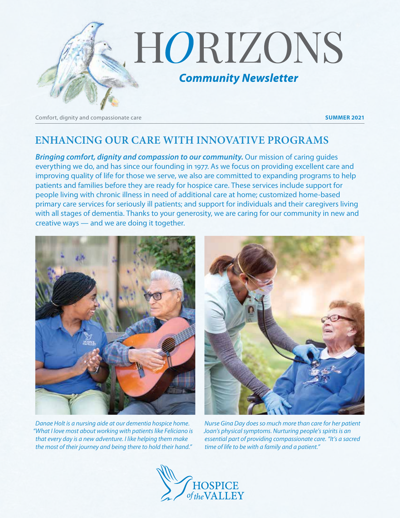

Comfort, dignity and compassionate care **SUMMER 2021**

### **ENHANCING OUR CARE WITH INNOVATIVE PROGRAMS**

*Bringing comfort, dignity and compassion to our community.* **Our mission of caring guides** everything we do, and has since our founding in 1977. As we focus on providing excellent care and improving quality of life for those we serve, we also are committed to expanding programs to help patients and families before they are ready for hospice care. These services include support for people living with chronic illness in need of additional care at home; customized home-based primary care services for seriously ill patients; and support for individuals and their caregivers living with all stages of dementia. Thanks to your generosity, we are caring for our community in new and creative ways — and we are doing it together.



*Danae Holt is a nursing aide at our dementia hospice home. "What I love most about working with patients like Feliciano is that every day is a new adventure. I like helping them make the most of their journey and being there to hold their hand."* 



*Nurse Gina Day does so much more than care for her patient Joan's physical symptoms. Nurturing people's spirits is an essential part of providing compassionate care. "It's a sacred time of life to be with a family and a patient."*

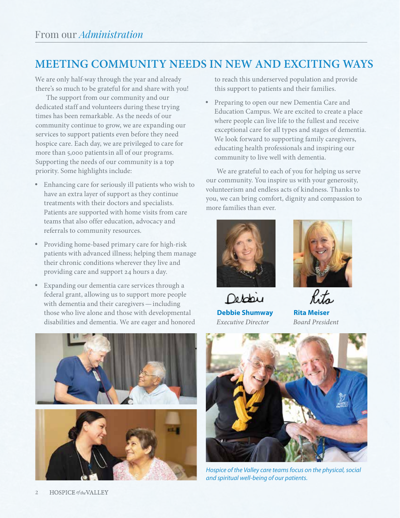### **MEETING COMMUNITY NEEDS IN NEW AND EXCITING WAYS**

We are only half-way through the year and already there's so much to be grateful for and share with you!

 The support from our community and our dedicated staff and volunteers during these trying times has been remarkable. As the needs of our community continue to grow, we are expanding our services to support patients even before they need hospice care. Each day, we are privileged to care for more than 5,000 patientsin all of our programs. Supporting the needs of our community is a top priority. Some highlights include:

- Enhancing care for seriously ill patients who wish to have an extra layer of support as they continue treatments with their doctors and specialists. Patients are supported with home visits from care teams that also offer education, advocacy and referrals to community resources.
- Providing home-based primary care for high-risk patients with advanced illness; helping them manage their chronic conditions wherever they live and providing care and support 24 hours a day.
- Expanding our dementia care services through a federal grant, allowing us to support more people with dementia and their caregivers—including those who live alone and those with developmental disabilities and dementia. We are eager and honored



to reach this underserved population and provide this support to patients and their families.

• Preparing to open our new Dementia Care and Education Campus. We are excited to create a place where people can live life to the fullest and receive exceptional care for all types and stages of dementia. We look forward to supporting family caregivers, educating health professionals and inspiring our community to live well with dementia.

 We are grateful to each of you for helping us serve our community. You inspire us with your generosity, volunteerism and endless acts of kindness. Thanks to you, we can bring comfort, dignity and compassion to more families than ever.



Debois

**Debbie Shumway** *Executive Director*





**Rita Meiser** *Board President*



*Hospice of the Valley care teams focus on the physical, social and spiritual well-being of our patients.*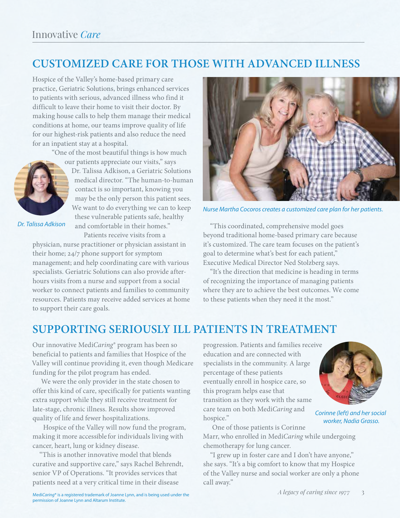### **CUSTOMIZED CARE FOR THOSE WITH ADVANCED ILLNESS**

Hospice of the Valley's home-based primary care practice, Geriatric Solutions, brings enhanced services to patients with serious, advanced illness who find it difficult to leave their home to visit their doctor. By making house calls to help them manage their medical conditions at home, our teams improve quality of life for our highest-risk patients and also reduce the need for an inpatient stay at a hospital.

"One of the most beautiful things is how much



our patients appreciate our visits," says Dr. Talissa Adkison, a Geriatric Solutions medical director. "The human-to-human contact is so important, knowing you may be the only person this patient sees. We want to do everything we can to keep these vulnerable patients safe, healthy and comfortable in their homes."

*Dr. Talissa Adkison*

Patients receive visits from a

physician, nurse practitioner or physician assistant in their home; 24/7 phone support for symptom management; and help coordinating care with various specialists. Geriatric Solutions can also provide afterhours visits from a nurse and support from a social worker to connect patients and families to community resources. Patients may receive added services at home to support their care goals.



*Nurse Martha Cocoros creates a customized care plan for her patients.*

"This coordinated, comprehensive model goes beyond traditional home-based primary care because it's customized. The care team focuses on the patient's goal to determine what's best for each patient," Executive Medical Director Ned Stolzberg says.

"It's the direction that medicine is heading in terms of recognizing the importance of managing patients where they are to achieve the best outcomes. We come to these patients when they need it the most."

## **SUPPORTING SERIOUSLY ILL PATIENTS IN TREATMENT**

Our innovative Medi*Caring*® program has been so beneficial to patients and families that Hospice of the Valley will continue providing it, even though Medicare funding for the pilot program has ended.

We were the only provider in the state chosen to offer this kind of care, specifically for patients wanting extra support while they still receive treatment for late-stage, chronic illness. Results show improved quality of life and fewer hospitalizations.

 Hospice of the Valley will now fund the program, making it more accessible for individuals living with cancer, heart, lung or kidney disease.

"This is another innovative model that blends curative and supportive care," says Rachel Behrendt, senior VP of Operations. "It provides services that patients need at a very critical time in their disease

progression. Patients and families receive education and are connected with specialists in the community. A large percentage of these patients eventually enroll in hospice care, so this program helps ease that transition as they work with the same care team on both Medi*Caring* and hospice."



*Corinne (left) and her social worker, Nadia Grasso.*

One of those patients is Corinne Marr, who enrolled in Medi*Caring* while undergoing chemotherapy for lung cancer.

"I grew up in foster care and I don't have anyone," she says. "It's a big comfort to know that my Hospice of the Valley nurse and social worker are only a phone call away."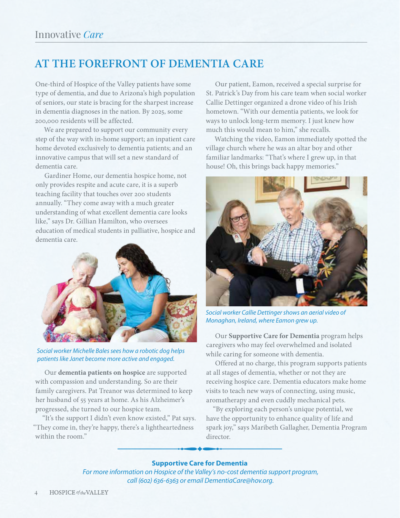# **AT THE FOREFRONT OF DEMENTIA CARE**

One-third of Hospice of the Valley patients have some type of dementia, and due to Arizona's high population of seniors, our state is bracing for the sharpest increase in dementia diagnoses in the nation. By 2025, some 200,000 residents will be affected.

We are prepared to support our community every step of the way with in-home support; an inpatient care home devoted exclusively to dementia patients; and an innovative campus that will set a new standard of dementia care.

Gardiner Home, our dementia hospice home, not only provides respite and acute care, it is a superb teaching facility that touches over 200 students annually. "They come away with a much greater understanding of what excellent dementia care looks like," says Dr. Gillian Hamilton, who oversees education of medical students in palliative, hospice and dementia care.



*Social worker Michelle Bales sees how a robotic dog helps patients like Janet become more active and engaged.*

Our **dementia patients on hospice** are supported with compassion and understanding. So are their family caregivers. Pat Treanor was determined to keep her husband of 55 years at home. As his Alzheimer's progressed, she turned to our hospice team.

"It's the support I didn't even know existed," Pat says. "They come in, they're happy, there's a lightheartedness within the room."

Our patient, Eamon, received a special surprise for St. Patrick's Day from his care team when social worker Callie Dettinger organized a drone video of his Irish hometown. "With our dementia patients, we look for ways to unlock long-term memory. I just knew how much this would mean to him," she recalls.

Watching the video, Eamon immediately spotted the village church where he was an altar boy and other familiar landmarks: "That's where I grew up, in that house! Oh, this brings back happy memories."



*Social worker Callie Dettinger shows an aerial video of Monaghan, Ireland, where Eamon grew up.*

Our **Supportive Care for Dementia** program helps caregivers who may feel overwhelmed and isolated while caring for someone with dementia.

Offered at no charge, this program supports patients at all stages of dementia, whether or not they are receiving hospice care. Dementia educators make home visits to teach new ways of connecting, using music, aromatherapy and even cuddly mechanical pets.

"By exploring each person's unique potential, we have the opportunity to enhance quality of life and spark joy," says Maribeth Gallagher, Dementia Program director.

#### **Supportive Care for Dementia**

*For more information on Hospice of the Valley's no-cost dementia support program, call (602) 636-6363 or email DementiaCare@hov.org.*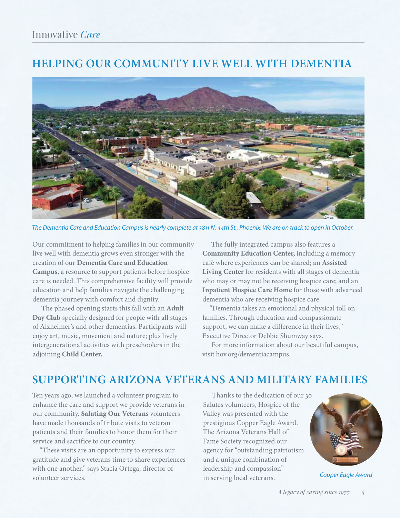## **HELPING OUR COMMUNITY LIVE WELL WITH DEMENTIA**



*The Dementia Care and Education Campus is nearly complete at 3811 N. 44th St., Phoenix. We are on track to open in October.*

Our commitment to helping families in our community live well with dementia grows even stronger with the creation of our **Dementia Care and Education Campus**, a resource to support patients before hospice care is needed. This comprehensive facility will provide education and help families navigate the challenging dementia journey with comfort and dignity.

The phased opening starts this fall with an **Adult Day Club** specially designed for people with all stages of Alzheimer's and other dementias. Participants will enjoy art, music, movement and nature; plus lively intergenerational activities with preschoolers in the adjoining **Child Center.**

The fully integrated campus also features a **Community Education Center,** including a memory café where experiences can be shared; an **Assisted Living Center** for residents with all stages of dementia who may or may not be receiving hospice care; and an **Inpatient Hospice Care Home** for those with advanced dementia who are receiving hospice care.

"Dementia takes an emotional and physical toll on families. Through education and compassionate support, we can make a difference in their lives," Executive Director Debbie Shumway says.

For more information about our beautiful campus, visit hov.org/dementiacampus.

### **SUPPORTING ARIZONA VETERANS AND MILITARY FAMILIES**

Ten years ago, we launched a volunteer program to enhance the care and support we provide veterans in our community. **Saluting Our Veterans** volunteers have made thousands of tribute visits to veteran patients and their families to honor them for their service and sacrifice to our country.

"These visits are an opportunity to express our gratitude and give veterans time to share experiences with one another," says Stacia Ortega, director of volunteer services.

Thanks to the dedication of our 30 Salutes volunteers, Hospice of the Valley was presented with the prestigious Copper Eagle Award. The Arizona Veterans Hall of Fame Society recognized our agency for "outstanding patriotism and a unique combination of leadership and compassion" in serving local veterans.



*Copper Eagle Award*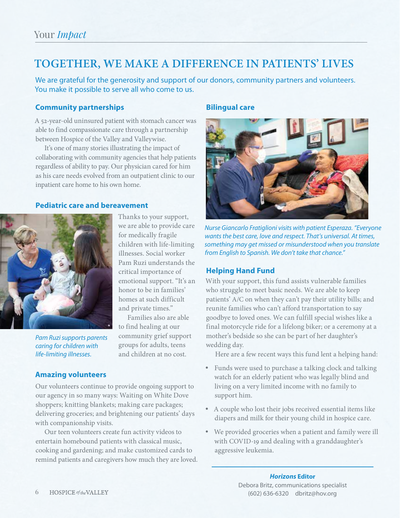## **TOGETHER, WE MAKE A DIFFERENCE IN PATIENTS' LIVES**

We are grateful for the generosity and support of our donors, community partners and volunteers. You make it possible to serve all who come to us.

#### **Community partnerships**

A 52-year-old uninsured patient with stomach cancer was able to find compassionate care through a partnership between Hospice of the Valley and Valleywise.

It's one of many stories illustrating the impact of collaborating with community agencies that help patients regardless of ability to pay. Our physician cared for him as his care needs evolved from an outpatient clinic to our inpatient care home to his own home.

> Thanks to your support, we are able to provide care for medically fragile children with life-limiting illnesses. Social worker Pam Ruzi understands the critical importance of emotional support. "It's an honor to be in families' homes at such difficult and private times."

> > Families also are able

to find healing at our community grief support groups for adults, teens and children at no cost.

#### **Pediatric care and bereavement**



*Pam Ruzi supports parents caring for children with life-limiting illnesses.* 

#### **Amazing volunteers**

Our volunteers continue to provide ongoing support to our agency in so many ways: Waiting on White Dove shoppers; knitting blankets; making care packages; delivering groceries; and brightening our patients' days with companionship visits.

Our teen volunteers create fun activity videos to entertain homebound patients with classical music, cooking and gardening; and make customized cards to remind patients and caregivers how much they are loved.

### **Bilingual care**



*Nurse Giancarlo Fratiglioni visits with patient Esperaza. "Everyone wants the best care, love and respect. That's universal. At times, something may get missed or misunderstood when you translate from English to Spanish. We don't take that chance."*

#### **Helping Hand Fund**

With your support, this fund assists vulnerable families who struggle to meet basic needs. We are able to keep patients' A/C on when they can't pay their utility bills; and reunite families who can't afford transportation to say goodbye to loved ones. We can fulfill special wishes like a final motorcycle ride for a lifelong biker; or a ceremony at a mother's bedside so she can be part of her daughter's wedding day.

Here are a few recent ways this fund lent a helping hand:

- Funds were used to purchase a talking clock and talking watch for an elderly patient who was legally blind and living on a very limited income with no family to support him.
- A couple who lost their jobs received essential items like diapers and milk for their young child in hospice care.
- We provided groceries when a patient and family were ill with COVID-19 and dealing with a granddaughter's aggressive leukemia.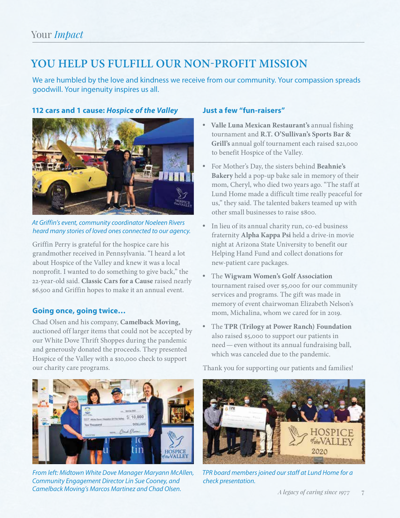## **YOU HELP US FULFILL OUR NON-PROFIT MISSION**

We are humbled by the love and kindness we receive from our community. Your compassion spreads goodwill. Your ingenuity inspires us all.

### **112 cars and 1 cause:** *Hospice of the Valley*



*At Griffin's event, community coordinator Noeleen Rivers heard many stories of loved ones connected to our agency.*

Griffin Perry is grateful for the hospice care his grandmother received in Pennsylvania. "I heard a lot about Hospice of the Valley and knew it was a local nonprofit. I wanted to do something to give back," the 22-year-old said. **Classic Cars for a Cause** raised nearly \$6,500 and Griffin hopes to make it an annual event.

#### **Going once, going twice…**

Chad Olsen and his company, **Camelback Moving,**  auctioned off larger items that could not be accepted by our White Dove Thrift Shoppes during the pandemic and generously donated the proceeds. They presented Hospice of the Valley with a \$10,000 check to support our charity care programs.



*From left: Midtown White Dove Manager Maryann McAllen, Community Engagement Director Lin Sue Cooney, and Camelback Moving's Marcos Martinez and Chad Olsen.*

#### **Just a few "fun-raisers"**

- y **Valle Luna Mexican Restaurant's** annual fishing tournament and **R.T. O'Sullivan's Sports Bar & Grill's** annual golf tournament each raised \$21,000 to benefit Hospice of the Valley.
- y For Mother's Day, the sisters behind **Beahnie's Bakery** held a pop-up bake sale in memory of their mom, Cheryl, who died two years ago. "The staff at Lund Home made a difficult time really peaceful for us," they said. The talented bakers teamed up with other small businesses to raise \$800.
- In lieu of its annual charity run, co-ed business fraternity **Alpha Kappa Psi** held a drive-in movie night at Arizona State University to benefit our Helping Hand Fund and collect donations for new-patient care packages.
- **The Wigwam Women's Golf Association** tournament raised over \$5,000 for our community services and programs. The gift was made in memory of event chairwoman Elizabeth Nelson's mom, Michalina, whom we cared for in 2019.
- The **TPR (Trilogy at Power Ranch) Foundation** also raised \$5,000 to support our patients in need—even without its annual fundraising ball, which was canceled due to the pandemic.

Thank you for supporting our patients and families!



*TPR board members joined our staff at Lund Home for a check presentation.*